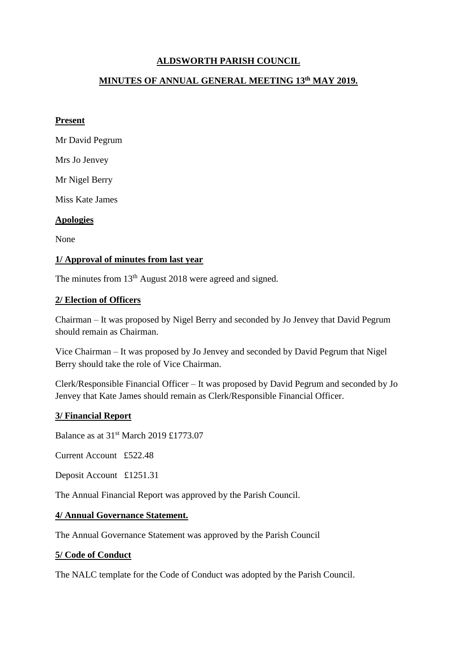# **ALDSWORTH PARISH COUNCIL**

## **MINUTES OF ANNUAL GENERAL MEETING 13th MAY 2019.**

#### **Present**

Mr David Pegrum

Mrs Jo Jenvey

Mr Nigel Berry

Miss Kate James

#### **Apologies**

None

#### **1/ Approval of minutes from last year**

The minutes from 13<sup>th</sup> August 2018 were agreed and signed.

#### **2/ Election of Officers**

Chairman – It was proposed by Nigel Berry and seconded by Jo Jenvey that David Pegrum should remain as Chairman.

Vice Chairman – It was proposed by Jo Jenvey and seconded by David Pegrum that Nigel Berry should take the role of Vice Chairman.

Clerk/Responsible Financial Officer – It was proposed by David Pegrum and seconded by Jo Jenvey that Kate James should remain as Clerk/Responsible Financial Officer.

## **3/ Financial Report**

Balance as at 31st March 2019 £1773.07

Current Account £522.48

Deposit Account £1251.31

The Annual Financial Report was approved by the Parish Council.

#### **4/ Annual Governance Statement.**

The Annual Governance Statement was approved by the Parish Council

#### **5/ Code of Conduct**

The NALC template for the Code of Conduct was adopted by the Parish Council.